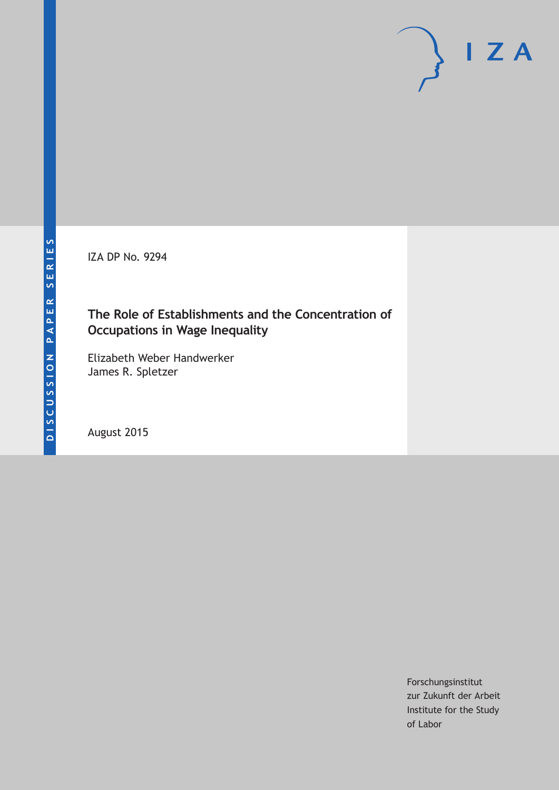IZA DP No. 9294

# **The Role of Establishments and the Concentration of Occupations in Wage Inequality**

Elizabeth Weber Handwerker James R. Spletzer

August 2015

Forschungsinstitut zur Zukunft der Arbeit Institute for the Study of Labor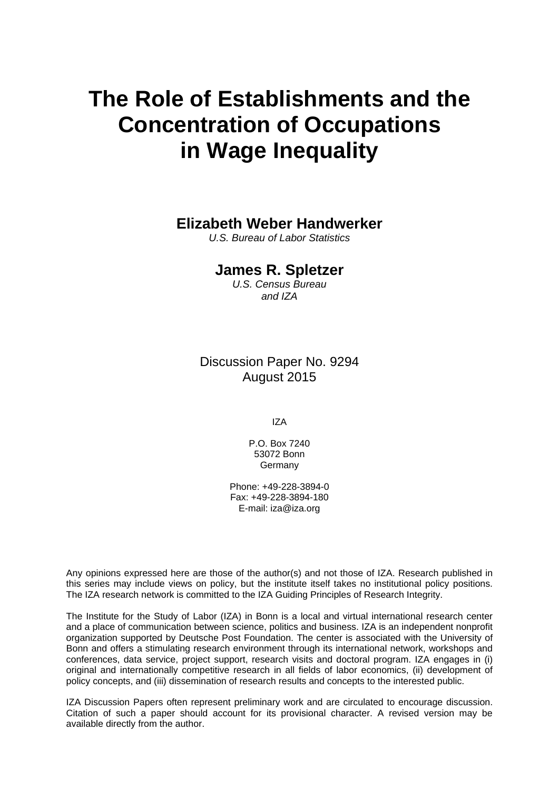# **The Role of Establishments and the Concentration of Occupations in Wage Inequality**

## **Elizabeth Weber Handwerker**

*U.S. Bureau of Labor Statistics* 

### **James R. Spletzer**

*U.S. Census Bureau and IZA* 

Discussion Paper No. 9294 August 2015

IZA

P.O. Box 7240 53072 Bonn Germany

Phone: +49-228-3894-0 Fax: +49-228-3894-180 E-mail: iza@iza.org

Any opinions expressed here are those of the author(s) and not those of IZA. Research published in this series may include views on policy, but the institute itself takes no institutional policy positions. The IZA research network is committed to the IZA Guiding Principles of Research Integrity.

The Institute for the Study of Labor (IZA) in Bonn is a local and virtual international research center and a place of communication between science, politics and business. IZA is an independent nonprofit organization supported by Deutsche Post Foundation. The center is associated with the University of Bonn and offers a stimulating research environment through its international network, workshops and conferences, data service, project support, research visits and doctoral program. IZA engages in (i) original and internationally competitive research in all fields of labor economics, (ii) development of policy concepts, and (iii) dissemination of research results and concepts to the interested public.

IZA Discussion Papers often represent preliminary work and are circulated to encourage discussion. Citation of such a paper should account for its provisional character. A revised version may be available directly from the author.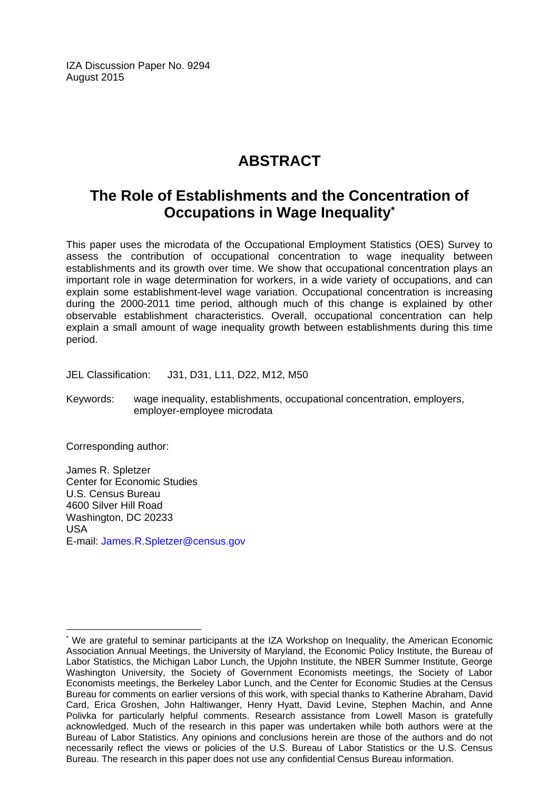IZA Discussion Paper No. 9294 August 2015

# **ABSTRACT**

# **The Role of Establishments and the Concentration of Occupations in Wage Inequality\***

This paper uses the microdata of the Occupational Employment Statistics (OES) Survey to assess the contribution of occupational concentration to wage inequality between establishments and its growth over time. We show that occupational concentration plays an important role in wage determination for workers, in a wide variety of occupations, and can explain some establishment-level wage variation. Occupational concentration is increasing during the 2000-2011 time period, although much of this change is explained by other observable establishment characteristics. Overall, occupational concentration can help explain a small amount of wage inequality growth between establishments during this time period.

JEL Classification: J31, D31, L11, D22, M12, M50

Keywords: wage inequality, establishments, occupational concentration, employers, employer-employee microdata

Corresponding author:

 $\overline{a}$ 

James R. Spletzer Center for Economic Studies U.S. Census Bureau 4600 Silver Hill Road Washington, DC 20233 USA E-mail: James.R.Spletzer@census.gov

<sup>\*</sup> We are grateful to seminar participants at the IZA Workshop on Inequality, the American Economic Association Annual Meetings, the University of Maryland, the Economic Policy Institute, the Bureau of Labor Statistics, the Michigan Labor Lunch, the Upjohn Institute, the NBER Summer Institute, George Washington University, the Society of Government Economists meetings, the Society of Labor Economists meetings, the Berkeley Labor Lunch, and the Center for Economic Studies at the Census Bureau for comments on earlier versions of this work, with special thanks to Katherine Abraham, David Card, Erica Groshen, John Haltiwanger, Henry Hyatt, David Levine, Stephen Machin, and Anne Polivka for particularly helpful comments. Research assistance from Lowell Mason is gratefully acknowledged. Much of the research in this paper was undertaken while both authors were at the Bureau of Labor Statistics. Any opinions and conclusions herein are those of the authors and do not necessarily reflect the views or policies of the U.S. Bureau of Labor Statistics or the U.S. Census Bureau. The research in this paper does not use any confidential Census Bureau information.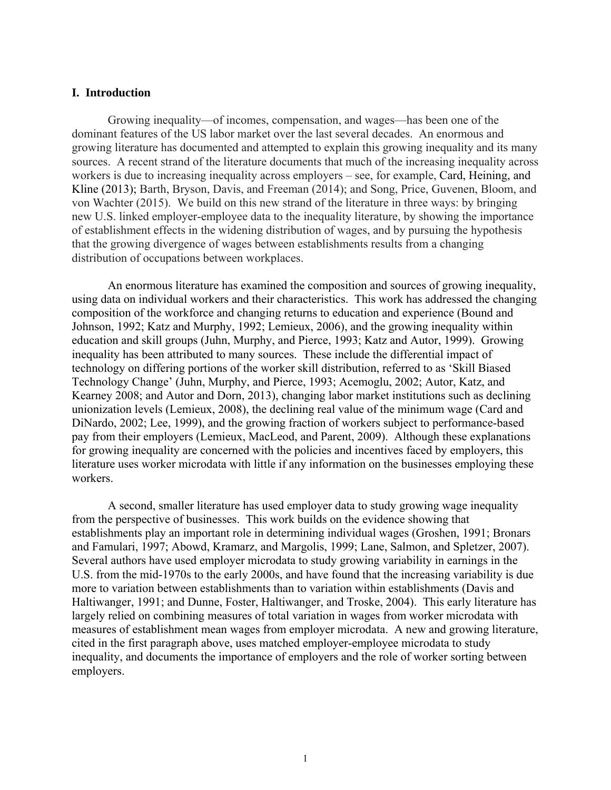#### **I. Introduction**

Growing inequality—of incomes, compensation, and wages—has been one of the dominant features of the US labor market over the last several decades. An enormous and growing literature has documented and attempted to explain this growing inequality and its many sources. A recent strand of the literature documents that much of the increasing inequality across workers is due to increasing inequality across employers – see, for example, Card, Heining, and Kline (2013); Barth, Bryson, Davis, and Freeman (2014); and Song, Price, Guvenen, Bloom, and von Wachter (2015). We build on this new strand of the literature in three ways: by bringing new U.S. linked employer-employee data to the inequality literature, by showing the importance of establishment effects in the widening distribution of wages, and by pursuing the hypothesis that the growing divergence of wages between establishments results from a changing distribution of occupations between workplaces.

 An enormous literature has examined the composition and sources of growing inequality, using data on individual workers and their characteristics. This work has addressed the changing composition of the workforce and changing returns to education and experience (Bound and Johnson, 1992; Katz and Murphy, 1992; Lemieux, 2006), and the growing inequality within education and skill groups (Juhn, Murphy, and Pierce, 1993; Katz and Autor, 1999). Growing inequality has been attributed to many sources. These include the differential impact of technology on differing portions of the worker skill distribution, referred to as 'Skill Biased Technology Change' (Juhn, Murphy, and Pierce, 1993; Acemoglu, 2002; Autor, Katz, and Kearney 2008; and Autor and Dorn, 2013), changing labor market institutions such as declining unionization levels (Lemieux, 2008), the declining real value of the minimum wage (Card and DiNardo, 2002; Lee, 1999), and the growing fraction of workers subject to performance-based pay from their employers (Lemieux, MacLeod, and Parent, 2009). Although these explanations for growing inequality are concerned with the policies and incentives faced by employers, this literature uses worker microdata with little if any information on the businesses employing these workers.

 A second, smaller literature has used employer data to study growing wage inequality from the perspective of businesses. This work builds on the evidence showing that establishments play an important role in determining individual wages (Groshen, 1991; Bronars and Famulari, 1997; Abowd, Kramarz, and Margolis, 1999; Lane, Salmon, and Spletzer, 2007). Several authors have used employer microdata to study growing variability in earnings in the U.S. from the mid-1970s to the early 2000s, and have found that the increasing variability is due more to variation between establishments than to variation within establishments (Davis and Haltiwanger, 1991; and Dunne, Foster, Haltiwanger, and Troske, 2004). This early literature has largely relied on combining measures of total variation in wages from worker microdata with measures of establishment mean wages from employer microdata. A new and growing literature, cited in the first paragraph above, uses matched employer-employee microdata to study inequality, and documents the importance of employers and the role of worker sorting between employers.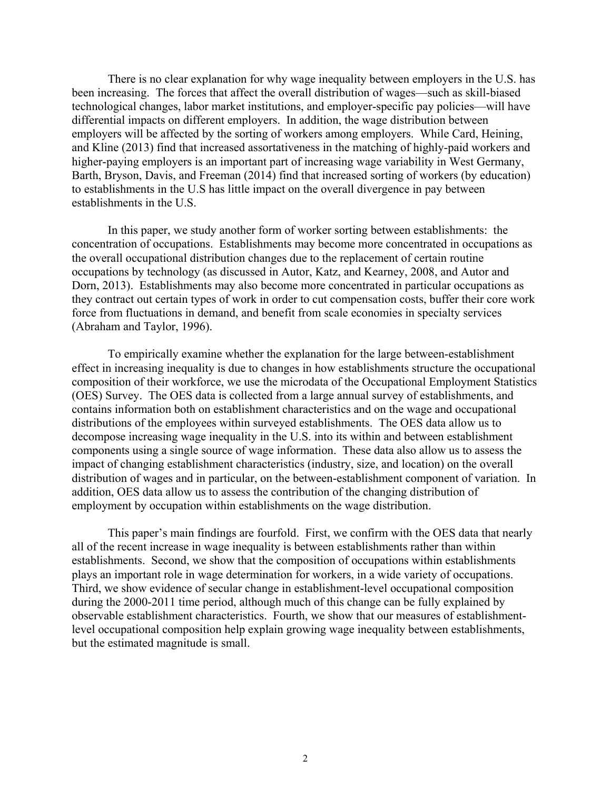There is no clear explanation for why wage inequality between employers in the U.S. has been increasing. The forces that affect the overall distribution of wages—such as skill-biased technological changes, labor market institutions, and employer-specific pay policies—will have differential impacts on different employers. In addition, the wage distribution between employers will be affected by the sorting of workers among employers. While Card, Heining, and Kline (2013) find that increased assortativeness in the matching of highly-paid workers and higher-paying employers is an important part of increasing wage variability in West Germany, Barth, Bryson, Davis, and Freeman (2014) find that increased sorting of workers (by education) to establishments in the U.S has little impact on the overall divergence in pay between establishments in the U.S.

In this paper, we study another form of worker sorting between establishments: the concentration of occupations. Establishments may become more concentrated in occupations as the overall occupational distribution changes due to the replacement of certain routine occupations by technology (as discussed in Autor, Katz, and Kearney, 2008, and Autor and Dorn, 2013). Establishments may also become more concentrated in particular occupations as they contract out certain types of work in order to cut compensation costs, buffer their core work force from fluctuations in demand, and benefit from scale economies in specialty services (Abraham and Taylor, 1996).

To empirically examine whether the explanation for the large between-establishment effect in increasing inequality is due to changes in how establishments structure the occupational composition of their workforce, we use the microdata of the Occupational Employment Statistics (OES) Survey. The OES data is collected from a large annual survey of establishments, and contains information both on establishment characteristics and on the wage and occupational distributions of the employees within surveyed establishments. The OES data allow us to decompose increasing wage inequality in the U.S. into its within and between establishment components using a single source of wage information. These data also allow us to assess the impact of changing establishment characteristics (industry, size, and location) on the overall distribution of wages and in particular, on the between-establishment component of variation. In addition, OES data allow us to assess the contribution of the changing distribution of employment by occupation within establishments on the wage distribution.

 This paper's main findings are fourfold. First, we confirm with the OES data that nearly all of the recent increase in wage inequality is between establishments rather than within establishments. Second, we show that the composition of occupations within establishments plays an important role in wage determination for workers, in a wide variety of occupations. Third, we show evidence of secular change in establishment-level occupational composition during the 2000-2011 time period, although much of this change can be fully explained by observable establishment characteristics. Fourth, we show that our measures of establishmentlevel occupational composition help explain growing wage inequality between establishments, but the estimated magnitude is small.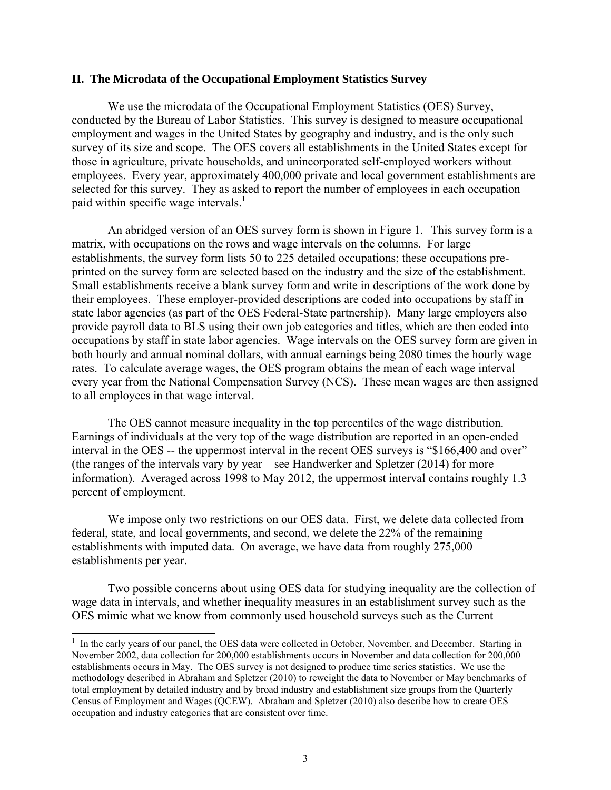#### **II. The Microdata of the Occupational Employment Statistics Survey**

We use the microdata of the Occupational Employment Statistics (OES) Survey, conducted by the Bureau of Labor Statistics. This survey is designed to measure occupational employment and wages in the United States by geography and industry, and is the only such survey of its size and scope. The OES covers all establishments in the United States except for those in agriculture, private households, and unincorporated self-employed workers without employees. Every year, approximately 400,000 private and local government establishments are selected for this survey. They as asked to report the number of employees in each occupation paid within specific wage intervals. $<sup>1</sup>$ </sup>

 An abridged version of an OES survey form is shown in Figure 1. This survey form is a matrix, with occupations on the rows and wage intervals on the columns. For large establishments, the survey form lists 50 to 225 detailed occupations; these occupations preprinted on the survey form are selected based on the industry and the size of the establishment. Small establishments receive a blank survey form and write in descriptions of the work done by their employees. These employer-provided descriptions are coded into occupations by staff in state labor agencies (as part of the OES Federal-State partnership). Many large employers also provide payroll data to BLS using their own job categories and titles, which are then coded into occupations by staff in state labor agencies. Wage intervals on the OES survey form are given in both hourly and annual nominal dollars, with annual earnings being 2080 times the hourly wage rates. To calculate average wages, the OES program obtains the mean of each wage interval every year from the National Compensation Survey (NCS). These mean wages are then assigned to all employees in that wage interval.

 The OES cannot measure inequality in the top percentiles of the wage distribution. Earnings of individuals at the very top of the wage distribution are reported in an open-ended interval in the OES -- the uppermost interval in the recent OES surveys is "\$166,400 and over" (the ranges of the intervals vary by year – see Handwerker and Spletzer (2014) for more information). Averaged across 1998 to May 2012, the uppermost interval contains roughly 1.3 percent of employment.

 We impose only two restrictions on our OES data. First, we delete data collected from federal, state, and local governments, and second, we delete the 22% of the remaining establishments with imputed data. On average, we have data from roughly 275,000 establishments per year.

Two possible concerns about using OES data for studying inequality are the collection of wage data in intervals, and whether inequality measures in an establishment survey such as the OES mimic what we know from commonly used household surveys such as the Current

 $\overline{a}$ 

<sup>&</sup>lt;sup>1</sup> In the early years of our panel, the OES data were collected in October, November, and December. Starting in November 2002, data collection for 200,000 establishments occurs in November and data collection for 200,000 establishments occurs in May. The OES survey is not designed to produce time series statistics. We use the methodology described in Abraham and Spletzer (2010) to reweight the data to November or May benchmarks of total employment by detailed industry and by broad industry and establishment size groups from the Quarterly Census of Employment and Wages (QCEW). Abraham and Spletzer (2010) also describe how to create OES occupation and industry categories that are consistent over time.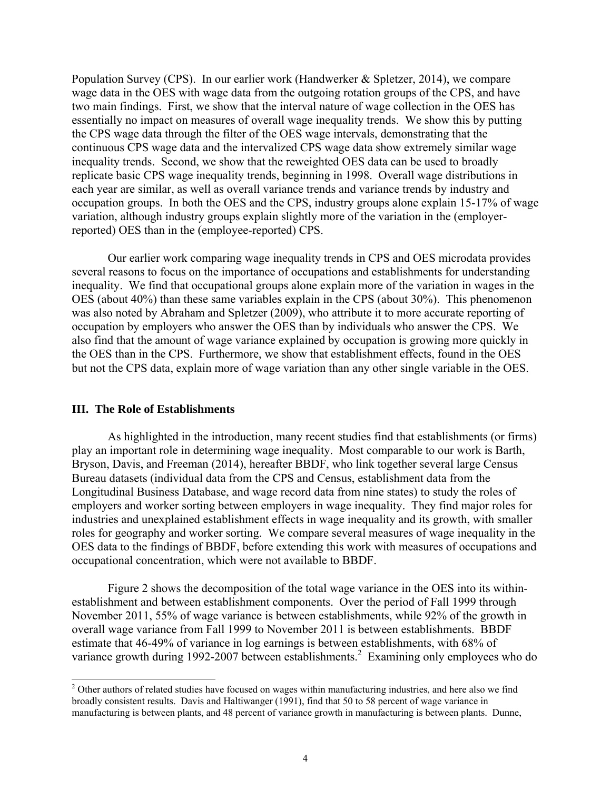Population Survey (CPS). In our earlier work (Handwerker & Spletzer, 2014), we compare wage data in the OES with wage data from the outgoing rotation groups of the CPS, and have two main findings. First, we show that the interval nature of wage collection in the OES has essentially no impact on measures of overall wage inequality trends. We show this by putting the CPS wage data through the filter of the OES wage intervals, demonstrating that the continuous CPS wage data and the intervalized CPS wage data show extremely similar wage inequality trends. Second, we show that the reweighted OES data can be used to broadly replicate basic CPS wage inequality trends, beginning in 1998. Overall wage distributions in each year are similar, as well as overall variance trends and variance trends by industry and occupation groups. In both the OES and the CPS, industry groups alone explain 15-17% of wage variation, although industry groups explain slightly more of the variation in the (employerreported) OES than in the (employee-reported) CPS.

Our earlier work comparing wage inequality trends in CPS and OES microdata provides several reasons to focus on the importance of occupations and establishments for understanding inequality. We find that occupational groups alone explain more of the variation in wages in the OES (about 40%) than these same variables explain in the CPS (about 30%). This phenomenon was also noted by Abraham and Spletzer (2009), who attribute it to more accurate reporting of occupation by employers who answer the OES than by individuals who answer the CPS. We also find that the amount of wage variance explained by occupation is growing more quickly in the OES than in the CPS. Furthermore, we show that establishment effects, found in the OES but not the CPS data, explain more of wage variation than any other single variable in the OES.

#### **III. The Role of Establishments**

As highlighted in the introduction, many recent studies find that establishments (or firms) play an important role in determining wage inequality. Most comparable to our work is Barth, Bryson, Davis, and Freeman (2014), hereafter BBDF, who link together several large Census Bureau datasets (individual data from the CPS and Census, establishment data from the Longitudinal Business Database, and wage record data from nine states) to study the roles of employers and worker sorting between employers in wage inequality. They find major roles for industries and unexplained establishment effects in wage inequality and its growth, with smaller roles for geography and worker sorting. We compare several measures of wage inequality in the OES data to the findings of BBDF, before extending this work with measures of occupations and occupational concentration, which were not available to BBDF.

Figure 2 shows the decomposition of the total wage variance in the OES into its withinestablishment and between establishment components. Over the period of Fall 1999 through November 2011, 55% of wage variance is between establishments, while 92% of the growth in overall wage variance from Fall 1999 to November 2011 is between establishments. BBDF estimate that 46-49% of variance in log earnings is between establishments, with 68% of variance growth during 1992-2007 between establishments.<sup>2</sup> Examining only employees who do

<sup>&</sup>lt;sup>2</sup> Other authors of related studies have focused on wages within manufacturing industries, and here also we find broadly consistent results. Davis and Haltiwanger (1991), find that 50 to 58 percent of wage variance in manufacturing is between plants, and 48 percent of variance growth in manufacturing is between plants. Dunne,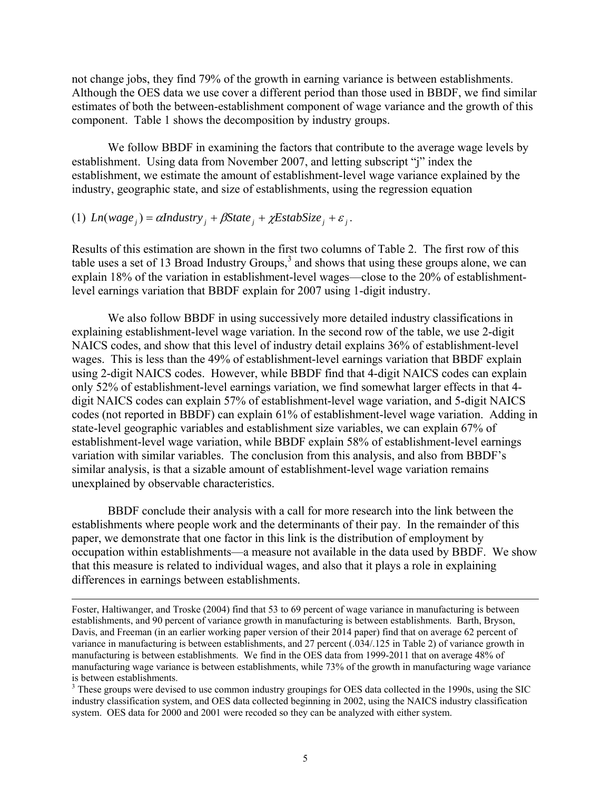not change jobs, they find 79% of the growth in earning variance is between establishments. Although the OES data we use cover a different period than those used in BBDF, we find similar estimates of both the between-establishment component of wage variance and the growth of this component. Table 1 shows the decomposition by industry groups.

We follow BBDF in examining the factors that contribute to the average wage levels by establishment. Using data from November 2007, and letting subscript "j" index the establishment, we estimate the amount of establishment-level wage variance explained by the industry, geographic state, and size of establishments, using the regression equation

(1)  $Ln(wage_i) = \alpha Industry_i + \beta State_i + \chi EstablishSize_i + \varepsilon_i$ .

 $\overline{a}$ 

Results of this estimation are shown in the first two columns of Table 2. The first row of this table uses a set of 13 Broad Industry Groups, $3$  and shows that using these groups alone, we can explain 18% of the variation in establishment-level wages—close to the 20% of establishmentlevel earnings variation that BBDF explain for 2007 using 1-digit industry.

We also follow BBDF in using successively more detailed industry classifications in explaining establishment-level wage variation. In the second row of the table, we use 2-digit NAICS codes, and show that this level of industry detail explains 36% of establishment-level wages. This is less than the 49% of establishment-level earnings variation that BBDF explain using 2-digit NAICS codes. However, while BBDF find that 4-digit NAICS codes can explain only 52% of establishment-level earnings variation, we find somewhat larger effects in that 4 digit NAICS codes can explain 57% of establishment-level wage variation, and 5-digit NAICS codes (not reported in BBDF) can explain 61% of establishment-level wage variation. Adding in state-level geographic variables and establishment size variables, we can explain 67% of establishment-level wage variation, while BBDF explain 58% of establishment-level earnings variation with similar variables. The conclusion from this analysis, and also from BBDF's similar analysis, is that a sizable amount of establishment-level wage variation remains unexplained by observable characteristics.

BBDF conclude their analysis with a call for more research into the link between the establishments where people work and the determinants of their pay. In the remainder of this paper, we demonstrate that one factor in this link is the distribution of employment by occupation within establishments—a measure not available in the data used by BBDF. We show that this measure is related to individual wages, and also that it plays a role in explaining differences in earnings between establishments.

Foster, Haltiwanger, and Troske (2004) find that 53 to 69 percent of wage variance in manufacturing is between establishments, and 90 percent of variance growth in manufacturing is between establishments. Barth, Bryson, Davis, and Freeman (in an earlier working paper version of their 2014 paper) find that on average 62 percent of variance in manufacturing is between establishments, and 27 percent (.034/.125 in Table 2) of variance growth in manufacturing is between establishments. We find in the OES data from 1999-2011 that on average 48% of manufacturing wage variance is between establishments, while 73% of the growth in manufacturing wage variance is between establishments.

<sup>3</sup> These groups were devised to use common industry groupings for OES data collected in the 1990s, using the SIC industry classification system, and OES data collected beginning in 2002, using the NAICS industry classification system. OES data for 2000 and 2001 were recoded so they can be analyzed with either system.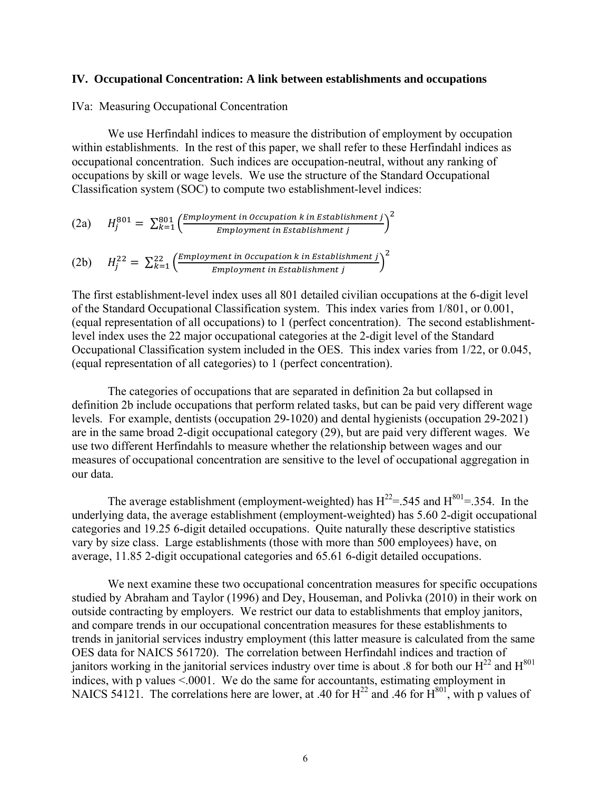#### **IV. Occupational Concentration: A link between establishments and occupations**

#### IVa: Measuring Occupational Concentration

 We use Herfindahl indices to measure the distribution of employment by occupation within establishments. In the rest of this paper, we shall refer to these Herfindahl indices as occupational concentration. Such indices are occupation-neutral, without any ranking of occupations by skill or wage levels. We use the structure of the Standard Occupational Classification system (SOC) to compute two establishment-level indices:

(2a) 
$$
H_j^{801} = \sum_{k=1}^{801} \left( \frac{Employment \text{ in Occupation } k \text{ in Establishment } j}{Employment \text{ in Establishment } j} \right)^2
$$

(2b) 
$$
H_j^{22} = \sum_{k=1}^{22} \left( \frac{Employment \text{ in Occupation } k \text{ in Establishment } j}{Employment \text{ in Establishment } j} \right)^2
$$

The first establishment-level index uses all 801 detailed civilian occupations at the 6-digit level of the Standard Occupational Classification system. This index varies from 1/801, or 0.001, (equal representation of all occupations) to 1 (perfect concentration). The second establishmentlevel index uses the 22 major occupational categories at the 2-digit level of the Standard Occupational Classification system included in the OES. This index varies from 1/22, or 0.045, (equal representation of all categories) to 1 (perfect concentration).

The categories of occupations that are separated in definition 2a but collapsed in definition 2b include occupations that perform related tasks, but can be paid very different wage levels. For example, dentists (occupation 29-1020) and dental hygienists (occupation 29-2021) are in the same broad 2-digit occupational category (29), but are paid very different wages. We use two different Herfindahls to measure whether the relationship between wages and our measures of occupational concentration are sensitive to the level of occupational aggregation in our data.

The average establishment (employment-weighted) has  $H^{22} = 545$  and  $H^{801} = 354$ . In the underlying data, the average establishment (employment-weighted) has 5.60 2-digit occupational categories and 19.25 6-digit detailed occupations. Quite naturally these descriptive statistics vary by size class. Large establishments (those with more than 500 employees) have, on average, 11.85 2-digit occupational categories and 65.61 6-digit detailed occupations.

 We next examine these two occupational concentration measures for specific occupations studied by Abraham and Taylor (1996) and Dey, Houseman, and Polivka (2010) in their work on outside contracting by employers. We restrict our data to establishments that employ janitors, and compare trends in our occupational concentration measures for these establishments to trends in janitorial services industry employment (this latter measure is calculated from the same OES data for NAICS 561720). The correlation between Herfindahl indices and traction of janitors working in the janitorial services industry over time is about .8 for both our  $H^{22}$  and  $H^{801}$ indices, with p values <.0001. We do the same for accountants, estimating employment in NAICS 54121. The correlations here are lower, at .40 for  $H^{22}$  and .46 for  $H^{801}$ , with p values of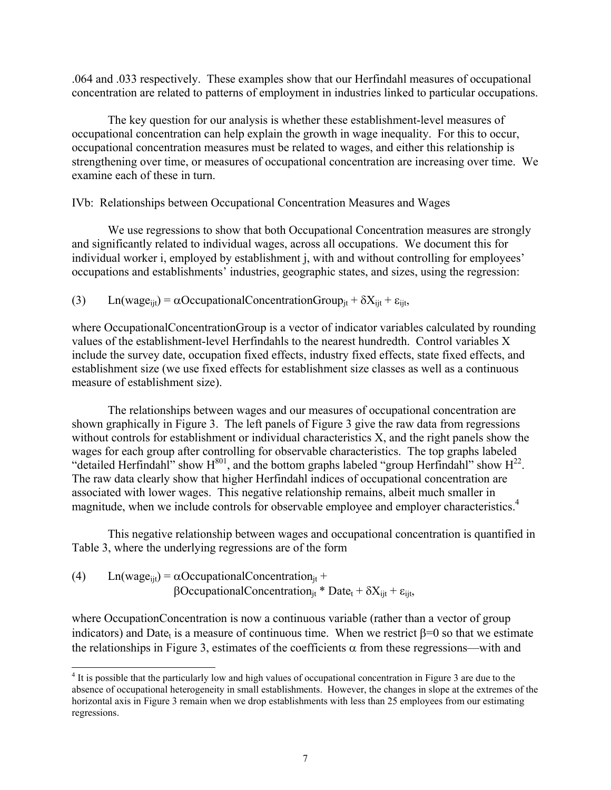.064 and .033 respectively. These examples show that our Herfindahl measures of occupational concentration are related to patterns of employment in industries linked to particular occupations.

 The key question for our analysis is whether these establishment-level measures of occupational concentration can help explain the growth in wage inequality. For this to occur, occupational concentration measures must be related to wages, and either this relationship is strengthening over time, or measures of occupational concentration are increasing over time. We examine each of these in turn.

#### IVb: Relationships between Occupational Concentration Measures and Wages

 We use regressions to show that both Occupational Concentration measures are strongly and significantly related to individual wages, across all occupations. We document this for individual worker i, employed by establishment j, with and without controlling for employees' occupations and establishments' industries, geographic states, and sizes, using the regression:

(3) Ln(wage<sub>iit</sub>) =  $\alpha$ OccupationalConcentrationGroup<sub>it</sub> +  $\delta X_{ijt}$  +  $\varepsilon_{ijt}$ ,

where OccupationalConcentrationGroup is a vector of indicator variables calculated by rounding values of the establishment-level Herfindahls to the nearest hundredth. Control variables X include the survey date, occupation fixed effects, industry fixed effects, state fixed effects, and establishment size (we use fixed effects for establishment size classes as well as a continuous measure of establishment size).

 The relationships between wages and our measures of occupational concentration are shown graphically in Figure 3. The left panels of Figure 3 give the raw data from regressions without controls for establishment or individual characteristics X, and the right panels show the wages for each group after controlling for observable characteristics. The top graphs labeled "detailed Herfindahl" show  $H^{801}$ , and the bottom graphs labeled "group Herfindahl" show  $H^{22}$ . The raw data clearly show that higher Herfindahl indices of occupational concentration are associated with lower wages. This negative relationship remains, albeit much smaller in magnitude, when we include controls for observable employee and employer characteristics.<sup>4</sup>

 This negative relationship between wages and occupational concentration is quantified in Table 3, where the underlying regressions are of the form

(4) Ln(wage<sub>iit</sub>) =  $\alpha$ OccupationalConcentration<sub>it</sub> +  $\beta$ OccupationalConcentration<sub>it</sub> \* Date<sub>t</sub> +  $\delta X_{\text{iit}}$  +  $\varepsilon_{\text{iit}}$ ,

 $\overline{a}$ 

where OccupationConcentration is now a continuous variable (rather than a vector of group indicators) and Date<sub>t</sub> is a measure of continuous time. When we restrict  $\beta=0$  so that we estimate the relationships in Figure 3, estimates of the coefficients  $\alpha$  from these regressions—with and

<sup>&</sup>lt;sup>4</sup> It is possible that the particularly low and high values of occupational concentration in Figure 3 are due to the absence of occupational heterogeneity in small establishments. However, the changes in slope at the extremes of the horizontal axis in Figure 3 remain when we drop establishments with less than 25 employees from our estimating regressions.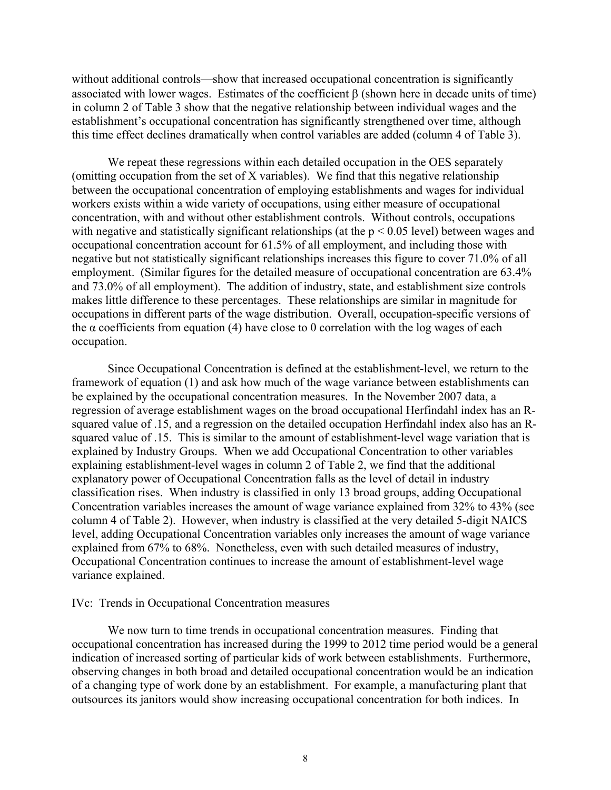without additional controls—show that increased occupational concentration is significantly associated with lower wages. Estimates of the coefficient  $\beta$  (shown here in decade units of time) in column 2 of Table 3 show that the negative relationship between individual wages and the establishment's occupational concentration has significantly strengthened over time, although this time effect declines dramatically when control variables are added (column 4 of Table 3).

We repeat these regressions within each detailed occupation in the OES separately (omitting occupation from the set of X variables). We find that this negative relationship between the occupational concentration of employing establishments and wages for individual workers exists within a wide variety of occupations, using either measure of occupational concentration, with and without other establishment controls. Without controls, occupations with negative and statistically significant relationships (at the  $p < 0.05$  level) between wages and occupational concentration account for 61.5% of all employment, and including those with negative but not statistically significant relationships increases this figure to cover 71.0% of all employment. (Similar figures for the detailed measure of occupational concentration are 63.4% and 73.0% of all employment). The addition of industry, state, and establishment size controls makes little difference to these percentages. These relationships are similar in magnitude for occupations in different parts of the wage distribution. Overall, occupation-specific versions of the  $\alpha$  coefficients from equation (4) have close to 0 correlation with the log wages of each occupation.

 Since Occupational Concentration is defined at the establishment-level, we return to the framework of equation (1) and ask how much of the wage variance between establishments can be explained by the occupational concentration measures. In the November 2007 data, a regression of average establishment wages on the broad occupational Herfindahl index has an Rsquared value of .15, and a regression on the detailed occupation Herfindahl index also has an Rsquared value of .15. This is similar to the amount of establishment-level wage variation that is explained by Industry Groups. When we add Occupational Concentration to other variables explaining establishment-level wages in column 2 of Table 2, we find that the additional explanatory power of Occupational Concentration falls as the level of detail in industry classification rises. When industry is classified in only 13 broad groups, adding Occupational Concentration variables increases the amount of wage variance explained from 32% to 43% (see column 4 of Table 2). However, when industry is classified at the very detailed 5-digit NAICS level, adding Occupational Concentration variables only increases the amount of wage variance explained from 67% to 68%. Nonetheless, even with such detailed measures of industry, Occupational Concentration continues to increase the amount of establishment-level wage variance explained.

#### IVc: Trends in Occupational Concentration measures

 We now turn to time trends in occupational concentration measures. Finding that occupational concentration has increased during the 1999 to 2012 time period would be a general indication of increased sorting of particular kids of work between establishments. Furthermore, observing changes in both broad and detailed occupational concentration would be an indication of a changing type of work done by an establishment. For example, a manufacturing plant that outsources its janitors would show increasing occupational concentration for both indices. In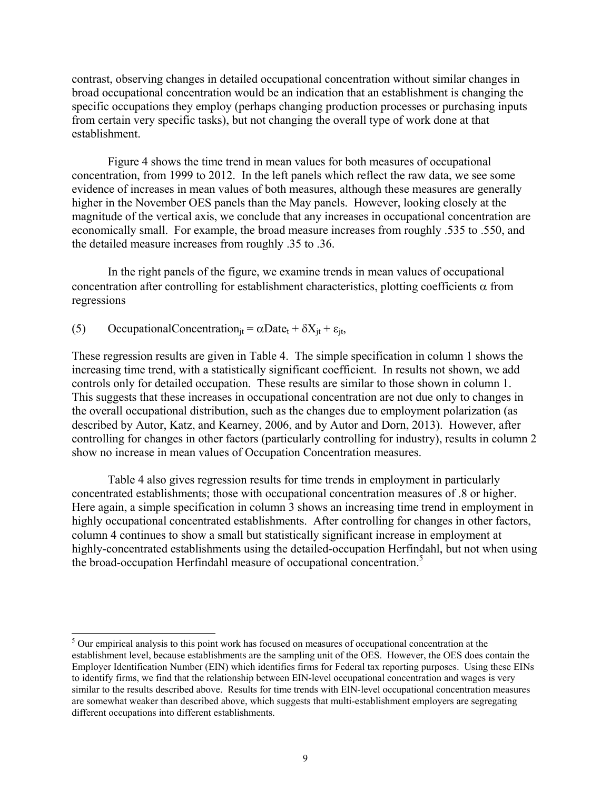contrast, observing changes in detailed occupational concentration without similar changes in broad occupational concentration would be an indication that an establishment is changing the specific occupations they employ (perhaps changing production processes or purchasing inputs from certain very specific tasks), but not changing the overall type of work done at that establishment.

Figure 4 shows the time trend in mean values for both measures of occupational concentration, from 1999 to 2012. In the left panels which reflect the raw data, we see some evidence of increases in mean values of both measures, although these measures are generally higher in the November OES panels than the May panels. However, looking closely at the magnitude of the vertical axis, we conclude that any increases in occupational concentration are economically small. For example, the broad measure increases from roughly .535 to .550, and the detailed measure increases from roughly .35 to .36.

In the right panels of the figure, we examine trends in mean values of occupational concentration after controlling for establishment characteristics, plotting coefficients  $\alpha$  from regressions

(5) OccupationalConcentration<sub>it</sub> =  $\alpha$ Date<sub>t</sub> +  $\delta X_{it}$  +  $\varepsilon_{it}$ ,

 $\overline{a}$ 

These regression results are given in Table 4. The simple specification in column 1 shows the increasing time trend, with a statistically significant coefficient. In results not shown, we add controls only for detailed occupation. These results are similar to those shown in column 1. This suggests that these increases in occupational concentration are not due only to changes in the overall occupational distribution, such as the changes due to employment polarization (as described by Autor, Katz, and Kearney, 2006, and by Autor and Dorn, 2013). However, after controlling for changes in other factors (particularly controlling for industry), results in column 2 show no increase in mean values of Occupation Concentration measures.

 Table 4 also gives regression results for time trends in employment in particularly concentrated establishments; those with occupational concentration measures of .8 or higher. Here again, a simple specification in column 3 shows an increasing time trend in employment in highly occupational concentrated establishments. After controlling for changes in other factors, column 4 continues to show a small but statistically significant increase in employment at highly-concentrated establishments using the detailed-occupation Herfindahl, but not when using the broad-occupation Herfindahl measure of occupational concentration.<sup>5</sup>

 $5$  Our empirical analysis to this point work has focused on measures of occupational concentration at the establishment level, because establishments are the sampling unit of the OES. However, the OES does contain the Employer Identification Number (EIN) which identifies firms for Federal tax reporting purposes. Using these EINs to identify firms, we find that the relationship between EIN-level occupational concentration and wages is very similar to the results described above. Results for time trends with EIN-level occupational concentration measures are somewhat weaker than described above, which suggests that multi-establishment employers are segregating different occupations into different establishments.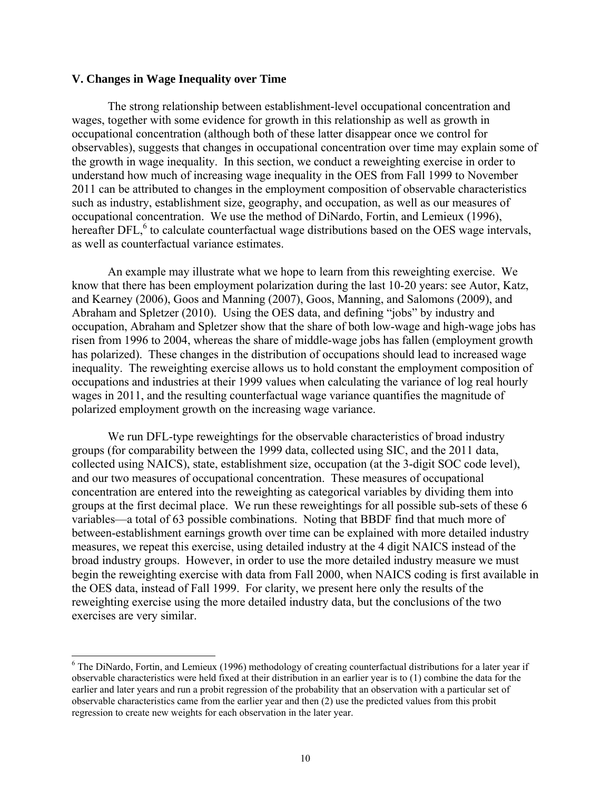#### **V. Changes in Wage Inequality over Time**

 $\overline{a}$ 

 The strong relationship between establishment-level occupational concentration and wages, together with some evidence for growth in this relationship as well as growth in occupational concentration (although both of these latter disappear once we control for observables), suggests that changes in occupational concentration over time may explain some of the growth in wage inequality. In this section, we conduct a reweighting exercise in order to understand how much of increasing wage inequality in the OES from Fall 1999 to November 2011 can be attributed to changes in the employment composition of observable characteristics such as industry, establishment size, geography, and occupation, as well as our measures of occupational concentration. We use the method of DiNardo, Fortin, and Lemieux (1996), hereafter DFL,<sup>6</sup> to calculate counterfactual wage distributions based on the OES wage intervals, as well as counterfactual variance estimates.

 An example may illustrate what we hope to learn from this reweighting exercise. We know that there has been employment polarization during the last 10-20 years: see Autor, Katz, and Kearney (2006), Goos and Manning (2007), Goos, Manning, and Salomons (2009), and Abraham and Spletzer (2010). Using the OES data, and defining "jobs" by industry and occupation, Abraham and Spletzer show that the share of both low-wage and high-wage jobs has risen from 1996 to 2004, whereas the share of middle-wage jobs has fallen (employment growth has polarized). These changes in the distribution of occupations should lead to increased wage inequality. The reweighting exercise allows us to hold constant the employment composition of occupations and industries at their 1999 values when calculating the variance of log real hourly wages in 2011, and the resulting counterfactual wage variance quantifies the magnitude of polarized employment growth on the increasing wage variance.

We run DFL-type reweightings for the observable characteristics of broad industry groups (for comparability between the 1999 data, collected using SIC, and the 2011 data, collected using NAICS), state, establishment size, occupation (at the 3-digit SOC code level), and our two measures of occupational concentration. These measures of occupational concentration are entered into the reweighting as categorical variables by dividing them into groups at the first decimal place. We run these reweightings for all possible sub-sets of these 6 variables—a total of 63 possible combinations. Noting that BBDF find that much more of between-establishment earnings growth over time can be explained with more detailed industry measures, we repeat this exercise, using detailed industry at the 4 digit NAICS instead of the broad industry groups. However, in order to use the more detailed industry measure we must begin the reweighting exercise with data from Fall 2000, when NAICS coding is first available in the OES data, instead of Fall 1999. For clarity, we present here only the results of the reweighting exercise using the more detailed industry data, but the conclusions of the two exercises are very similar.

<sup>&</sup>lt;sup>6</sup> The DiNardo, Fortin, and Lemieux (1996) methodology of creating counterfactual distributions for a later year if observable characteristics were held fixed at their distribution in an earlier year is to (1) combine the data for the earlier and later years and run a probit regression of the probability that an observation with a particular set of observable characteristics came from the earlier year and then (2) use the predicted values from this probit regression to create new weights for each observation in the later year.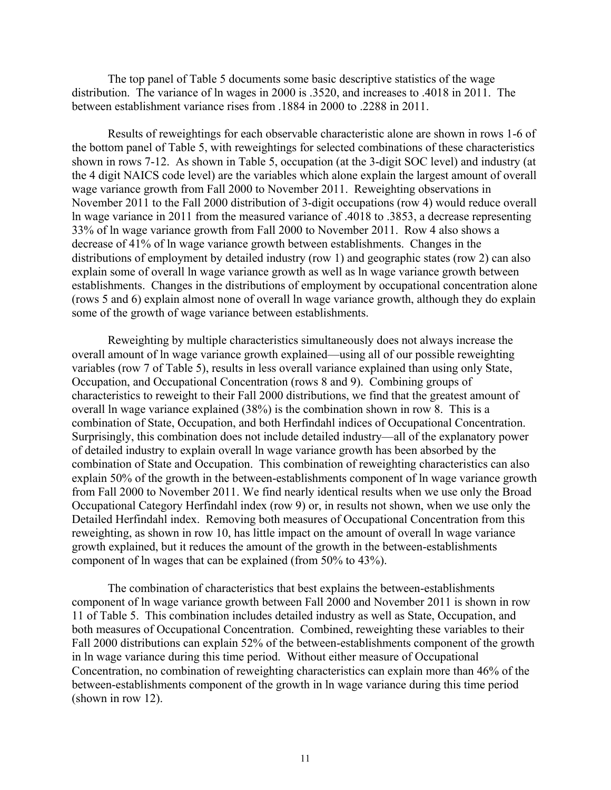The top panel of Table 5 documents some basic descriptive statistics of the wage distribution. The variance of ln wages in 2000 is .3520, and increases to .4018 in 2011. The between establishment variance rises from .1884 in 2000 to .2288 in 2011.

Results of reweightings for each observable characteristic alone are shown in rows 1-6 of the bottom panel of Table 5, with reweightings for selected combinations of these characteristics shown in rows 7-12. As shown in Table 5, occupation (at the 3-digit SOC level) and industry (at the 4 digit NAICS code level) are the variables which alone explain the largest amount of overall wage variance growth from Fall 2000 to November 2011. Reweighting observations in November 2011 to the Fall 2000 distribution of 3-digit occupations (row 4) would reduce overall ln wage variance in 2011 from the measured variance of .4018 to .3853, a decrease representing 33% of ln wage variance growth from Fall 2000 to November 2011. Row 4 also shows a decrease of 41% of ln wage variance growth between establishments. Changes in the distributions of employment by detailed industry (row 1) and geographic states (row 2) can also explain some of overall ln wage variance growth as well as ln wage variance growth between establishments. Changes in the distributions of employment by occupational concentration alone (rows 5 and 6) explain almost none of overall ln wage variance growth, although they do explain some of the growth of wage variance between establishments.

 Reweighting by multiple characteristics simultaneously does not always increase the overall amount of ln wage variance growth explained—using all of our possible reweighting variables (row 7 of Table 5), results in less overall variance explained than using only State, Occupation, and Occupational Concentration (rows 8 and 9). Combining groups of characteristics to reweight to their Fall 2000 distributions, we find that the greatest amount of overall ln wage variance explained (38%) is the combination shown in row 8. This is a combination of State, Occupation, and both Herfindahl indices of Occupational Concentration. Surprisingly, this combination does not include detailed industry—all of the explanatory power of detailed industry to explain overall ln wage variance growth has been absorbed by the combination of State and Occupation. This combination of reweighting characteristics can also explain 50% of the growth in the between-establishments component of ln wage variance growth from Fall 2000 to November 2011. We find nearly identical results when we use only the Broad Occupational Category Herfindahl index (row 9) or, in results not shown, when we use only the Detailed Herfindahl index. Removing both measures of Occupational Concentration from this reweighting, as shown in row 10, has little impact on the amount of overall ln wage variance growth explained, but it reduces the amount of the growth in the between-establishments component of ln wages that can be explained (from 50% to 43%).

 The combination of characteristics that best explains the between-establishments component of ln wage variance growth between Fall 2000 and November 2011 is shown in row 11 of Table 5. This combination includes detailed industry as well as State, Occupation, and both measures of Occupational Concentration. Combined, reweighting these variables to their Fall 2000 distributions can explain 52% of the between-establishments component of the growth in ln wage variance during this time period. Without either measure of Occupational Concentration, no combination of reweighting characteristics can explain more than 46% of the between-establishments component of the growth in ln wage variance during this time period (shown in row 12).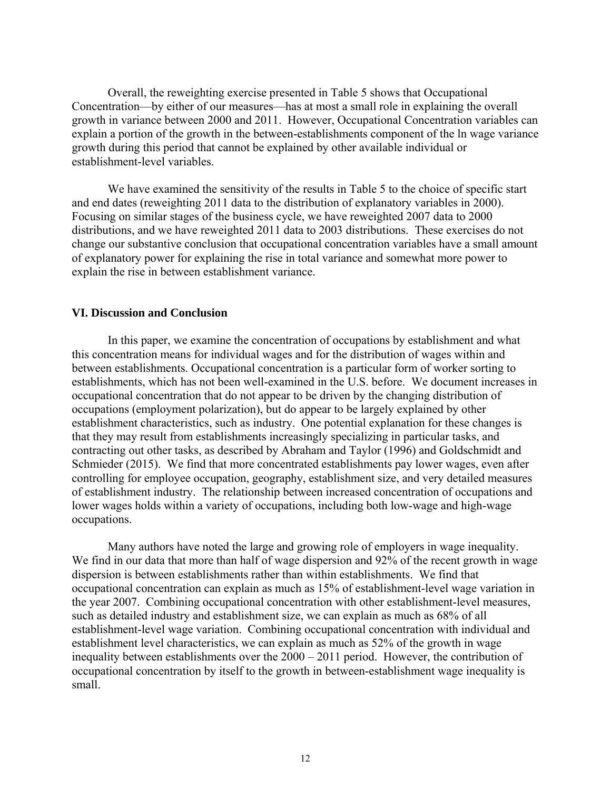Overall, the reweighting exercise presented in Table 5 shows that Occupational Concentration—by either of our measures—has at most a small role in explaining the overall growth in variance between 2000 and 2011. However, Occupational Concentration variables can explain a portion of the growth in the between-establishments component of the ln wage variance growth during this period that cannot be explained by other available individual or establishment-level variables.

We have examined the sensitivity of the results in Table 5 to the choice of specific start and end dates (reweighting 2011 data to the distribution of explanatory variables in 2000). Focusing on similar stages of the business cycle, we have reweighted 2007 data to 2000 distributions, and we have reweighted 2011 data to 2003 distributions. These exercises do not change our substantive conclusion that occupational concentration variables have a small amount of explanatory power for explaining the rise in total variance and somewhat more power to explain the rise in between establishment variance.

#### **VI. Discussion and Conclusion**

In this paper, we examine the concentration of occupations by establishment and what this concentration means for individual wages and for the distribution of wages within and between establishments. Occupational concentration is a particular form of worker sorting to establishments, which has not been well-examined in the U.S. before. We document increases in occupational concentration that do not appear to be driven by the changing distribution of occupations (employment polarization), but do appear to be largely explained by other establishment characteristics, such as industry. One potential explanation for these changes is that they may result from establishments increasingly specializing in particular tasks, and contracting out other tasks, as described by Abraham and Taylor (1996) and Goldschmidt and Schmieder (2015). We find that more concentrated establishments pay lower wages, even after controlling for employee occupation, geography, establishment size, and very detailed measures of establishment industry. The relationship between increased concentration of occupations and lower wages holds within a variety of occupations, including both low-wage and high-wage occupations.

Many authors have noted the large and growing role of employers in wage inequality. We find in our data that more than half of wage dispersion and 92% of the recent growth in wage dispersion is between establishments rather than within establishments. We find that occupational concentration can explain as much as 15% of establishment-level wage variation in the year 2007. Combining occupational concentration with other establishment-level measures, such as detailed industry and establishment size, we can explain as much as 68% of all establishment-level wage variation. Combining occupational concentration with individual and establishment level characteristics, we can explain as much as 52% of the growth in wage inequality between establishments over the 2000 – 2011 period. However, the contribution of occupational concentration by itself to the growth in between-establishment wage inequality is small.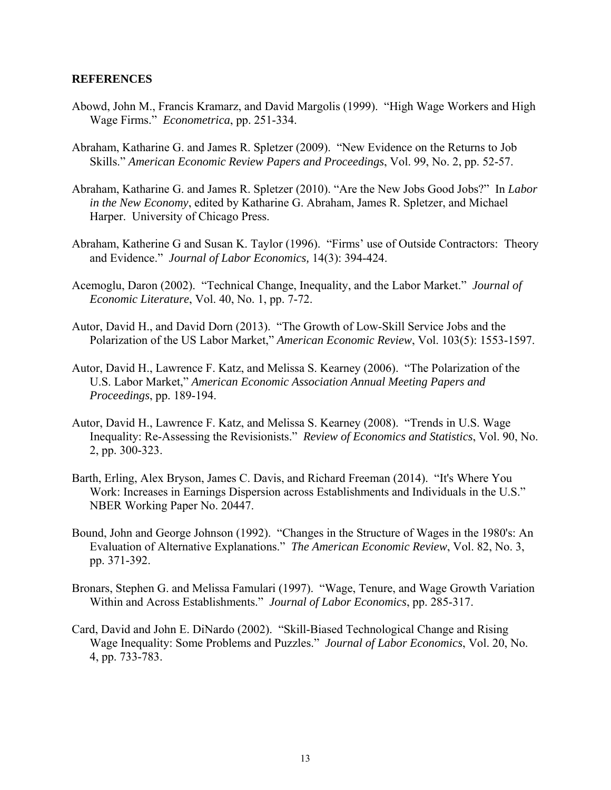#### **REFERENCES**

- Abowd, John M., Francis Kramarz, and David Margolis (1999). "High Wage Workers and High Wage Firms." *Econometrica*, pp. 251-334.
- Abraham, Katharine G. and James R. Spletzer (2009). "New Evidence on the Returns to Job Skills." *American Economic Review Papers and Proceedings*, Vol. 99, No. 2, pp. 52-57.
- Abraham, Katharine G. and James R. Spletzer (2010). "Are the New Jobs Good Jobs?" In *Labor in the New Economy*, edited by Katharine G. Abraham, James R. Spletzer, and Michael Harper. University of Chicago Press.
- Abraham, Katherine G and Susan K. Taylor (1996). "Firms' use of Outside Contractors: Theory and Evidence." *Journal of Labor Economics,* 14(3): 394-424.
- Acemoglu, Daron (2002). "Technical Change, Inequality, and the Labor Market." *Journal of Economic Literature*, Vol. 40, No. 1, pp. 7-72.
- Autor, David H., and David Dorn (2013). "The Growth of Low-Skill Service Jobs and the Polarization of the US Labor Market," *American Economic Review*, Vol. 103(5): 1553-1597.
- Autor, David H., Lawrence F. Katz, and Melissa S. Kearney (2006). "The Polarization of the U.S. Labor Market," *American Economic Association Annual Meeting Papers and Proceedings*, pp. 189-194.
- Autor, David H., Lawrence F. Katz, and Melissa S. Kearney (2008). "Trends in U.S. Wage Inequality: Re-Assessing the Revisionists." *Review of Economics and Statistics*, Vol. 90, No. 2, pp. 300-323.
- Barth, Erling, Alex Bryson, James C. Davis, and Richard Freeman (2014). "It's Where You Work: Increases in Earnings Dispersion across Establishments and Individuals in the U.S." NBER Working Paper No. 20447.
- Bound, John and George Johnson (1992). "Changes in the Structure of Wages in the 1980's: An Evaluation of Alternative Explanations." *The American Economic Review*, Vol. 82, No. 3, pp. 371-392.
- Bronars, Stephen G. and Melissa Famulari (1997). "Wage, Tenure, and Wage Growth Variation Within and Across Establishments." *Journal of Labor Economics*, pp. 285-317.
- Card, David and John E. DiNardo (2002). "Skill-Biased Technological Change and Rising Wage Inequality: Some Problems and Puzzles." *Journal of Labor Economics*, Vol. 20, No. 4, pp. 733-783.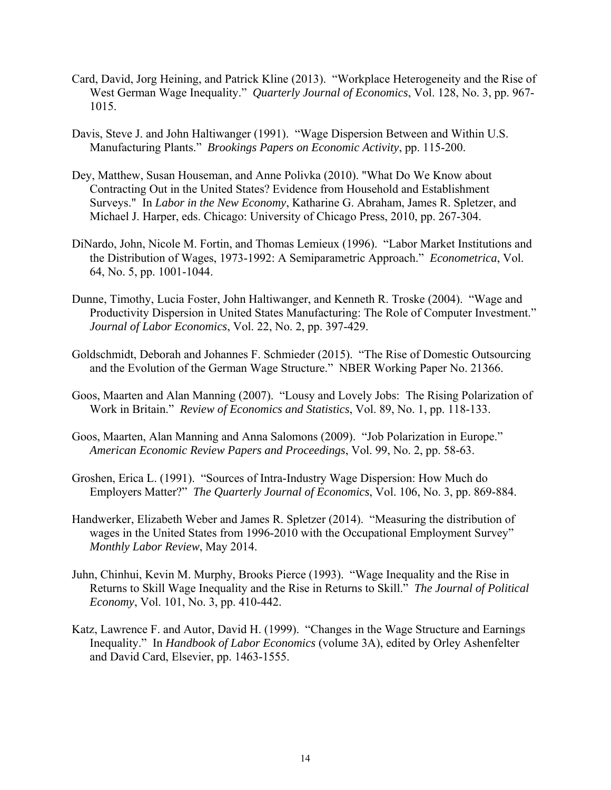- Card, David, Jorg Heining, and Patrick Kline (2013). "Workplace Heterogeneity and the Rise of West German Wage Inequality." *Quarterly Journal of Economics*, Vol. 128, No. 3, pp. 967- 1015.
- Davis, Steve J. and John Haltiwanger (1991). "Wage Dispersion Between and Within U.S. Manufacturing Plants." *Brookings Papers on Economic Activity*, pp. 115-200.
- Dey, Matthew, Susan Houseman, and Anne Polivka (2010). "What Do We Know about Contracting Out in the United States? Evidence from Household and Establishment Surveys." In *Labor in the New Economy*, Katharine G. Abraham, James R. Spletzer, and Michael J. Harper, eds. Chicago: University of Chicago Press, 2010, pp. 267-304.
- DiNardo, John, Nicole M. Fortin, and Thomas Lemieux (1996). "Labor Market Institutions and the Distribution of Wages, 1973-1992: A Semiparametric Approach." *Econometrica*, Vol. 64, No. 5, pp. 1001-1044.
- Dunne, Timothy, Lucia Foster, John Haltiwanger, and Kenneth R. Troske (2004). "Wage and Productivity Dispersion in United States Manufacturing: The Role of Computer Investment." *Journal of Labor Economics*, Vol. 22, No. 2, pp. 397-429.
- Goldschmidt, Deborah and Johannes F. Schmieder (2015). "The Rise of Domestic Outsourcing and the Evolution of the German Wage Structure." NBER Working Paper No. 21366.
- Goos, Maarten and Alan Manning (2007). "Lousy and Lovely Jobs: The Rising Polarization of Work in Britain." *Review of Economics and Statistics*, Vol. 89, No. 1, pp. 118-133.
- Goos, Maarten, Alan Manning and Anna Salomons (2009). "Job Polarization in Europe." *American Economic Review Papers and Proceedings*, Vol. 99, No. 2, pp. 58-63.
- Groshen, Erica L. (1991). "Sources of Intra-Industry Wage Dispersion: How Much do Employers Matter?" *The Quarterly Journal of Economics*, Vol. 106, No. 3, pp. 869-884.
- Handwerker, Elizabeth Weber and James R. Spletzer (2014). "Measuring the distribution of wages in the United States from 1996-2010 with the Occupational Employment Survey" *Monthly Labor Review*, May 2014.
- Juhn, Chinhui, Kevin M. Murphy, Brooks Pierce (1993). "Wage Inequality and the Rise in Returns to Skill Wage Inequality and the Rise in Returns to Skill." *The Journal of Political Economy*, Vol. 101, No. 3, pp. 410-442.
- Katz, Lawrence F. and Autor, David H. (1999). "Changes in the Wage Structure and Earnings Inequality." In *Handbook of Labor Economics* (volume 3A), edited by Orley Ashenfelter and David Card, Elsevier, pp. 1463-1555.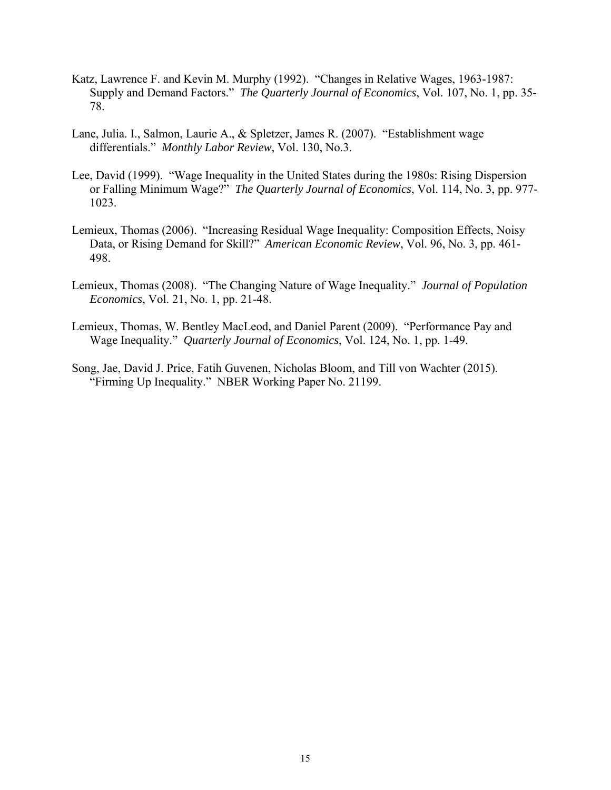- Katz, Lawrence F. and Kevin M. Murphy (1992). "Changes in Relative Wages, 1963-1987: Supply and Demand Factors." *The Quarterly Journal of Economics*, Vol. 107, No. 1, pp. 35- 78.
- Lane, Julia. I., Salmon, Laurie A., & Spletzer, James R. (2007). "Establishment wage differentials." *Monthly Labor Review*, Vol. 130, No.3.
- Lee, David (1999). "Wage Inequality in the United States during the 1980s: Rising Dispersion or Falling Minimum Wage?" *The Quarterly Journal of Economics*, Vol. 114, No. 3, pp. 977- 1023.
- Lemieux, Thomas (2006). "Increasing Residual Wage Inequality: Composition Effects, Noisy Data, or Rising Demand for Skill?" *American Economic Review*, Vol. 96, No. 3, pp. 461- 498.
- Lemieux, Thomas (2008). "The Changing Nature of Wage Inequality." *Journal of Population Economics*, Vol. 21, No. 1, pp. 21-48.
- Lemieux, Thomas, W. Bentley MacLeod, and Daniel Parent (2009). "Performance Pay and Wage Inequality." *Quarterly Journal of Economics*, Vol. 124, No. 1, pp. 1-49.
- Song, Jae, David J. Price, Fatih Guvenen, Nicholas Bloom, and Till von Wachter (2015). "Firming Up Inequality." NBER Working Paper No. 21199.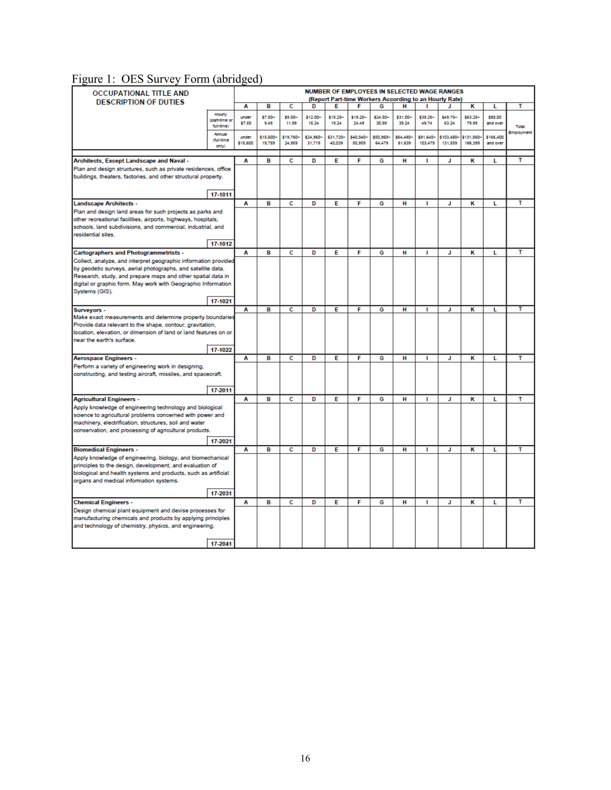### Figure 1: OES Survey Form (abridged)

| <b>OCCUPATIONAL TITLE AND</b>                                                                                              |                            |          |          |           | NUMBER OF EMPLOYEES IN SELECTED WAGE RANGES |           |           |                                                        |           |           |            |          |           |            |
|----------------------------------------------------------------------------------------------------------------------------|----------------------------|----------|----------|-----------|---------------------------------------------|-----------|-----------|--------------------------------------------------------|-----------|-----------|------------|----------|-----------|------------|
| <b>DESCRIPTION OF DUTIES</b>                                                                                               |                            |          |          |           |                                             |           |           | (Report Part-time Workers According to an Hourly Rate) |           |           |            |          |           |            |
|                                                                                                                            |                            | A        | в        | c         | D                                           | Е         | F         | G                                                      | н         | ٠         | J          | κ        | L         | т          |
|                                                                                                                            | Hourly<br>(part-time or    | under    | \$7.50-  | $$9.50-$  | \$12.00                                     | \$15.25   | \$19.25-  | \$24,50                                                | \$31.00   | \$39.25   | \$49.75    | \$63.25- | \$80.00   |            |
|                                                                                                                            | full time)                 | \$7.50   | 9.49     | 11.99     | 15.24                                       | 19.24     | 24.49     | 30.99                                                  | 39.24     | 49.74     | 63.24      | 79.99    | and over  | Total      |
|                                                                                                                            | Annual                     | under    | \$15,600 | \$19,760- | \$24,960-                                   | \$31,720- | \$40,040- | \$50,960-                                              | \$64,480- | \$81,640- | \$103,480- | 131,560  | \$166,400 | Employment |
|                                                                                                                            | <b>Chall time</b><br>only) | \$15,600 | 19,759   | 24,959    | 31,719                                      | 40,039    | 50,959    | 64,479                                                 | 81,639    | 103,479   | 131,559    | 166,399  | and over  |            |
|                                                                                                                            |                            |          |          |           |                                             |           |           |                                                        |           |           |            |          |           |            |
| Architects, Except Landscape and Naval -                                                                                   |                            | A        | R        | c         | D                                           | Е         | F         | G                                                      | н         | т         | J          | κ        | L         | т          |
| Plan and design structures, such as private residences, office                                                             |                            |          |          |           |                                             |           |           |                                                        |           |           |            |          |           |            |
| buildings, theaters, factories, and other structural property.                                                             |                            |          |          |           |                                             |           |           |                                                        |           |           |            |          |           |            |
|                                                                                                                            |                            |          |          |           |                                             |           |           |                                                        |           |           |            |          |           |            |
|                                                                                                                            | 17-1011                    |          |          |           |                                             |           |           |                                                        |           |           |            |          |           |            |
| <b>Landscape Architects -</b>                                                                                              |                            | A        | в        | c         | D                                           | Е         | F         | G                                                      | н         | т         | J          | к        | L         | т          |
| Plan and design land areas for such projects as parks and                                                                  |                            |          |          |           |                                             |           |           |                                                        |           |           |            |          |           |            |
| other recreational facilities, airports, highways, hospitals,                                                              |                            |          |          |           |                                             |           |           |                                                        |           |           |            |          |           |            |
| schools, land subdivisions, and commercial, industrial, and                                                                |                            |          |          |           |                                             |           |           |                                                        |           |           |            |          |           |            |
| residential sites.                                                                                                         |                            |          |          |           |                                             |           |           |                                                        |           |           |            |          |           |            |
|                                                                                                                            | 17-1012                    |          |          |           |                                             |           |           |                                                        |           |           |            |          |           |            |
| <b>Cartographers and Photogrammetrists -</b>                                                                               |                            | A        | в        | c         | D                                           | E         | F         | G                                                      | н         | п         | J          | κ        | L         | т          |
| Collect, analyze, and interpret geographic information provided                                                            |                            |          |          |           |                                             |           |           |                                                        |           |           |            |          |           |            |
| by geodetic surveys, aerial photographs, and satellite data.                                                               |                            |          |          |           |                                             |           |           |                                                        |           |           |            |          |           |            |
| Research, study, and prepare maps and other spatial data in                                                                |                            |          |          |           |                                             |           |           |                                                        |           |           |            |          |           |            |
| digital or graphic form. May work with Geographic Information                                                              |                            |          |          |           |                                             |           |           |                                                        |           |           |            |          |           |            |
| Systems (GIS).                                                                                                             |                            |          |          |           |                                             |           |           |                                                        |           |           |            |          |           |            |
|                                                                                                                            | 17-1021                    |          |          |           |                                             |           |           |                                                        |           |           |            |          |           |            |
| Surveyors -                                                                                                                |                            | Α        | в        | с         | D                                           | Е         | F         | G                                                      | н         | п         | J.         | κ        | п         |            |
| Make exact measurements and determine property boundaries                                                                  |                            |          |          |           |                                             |           |           |                                                        |           |           |            |          |           |            |
| Provide data relevant to the shape, contour, gravitation,                                                                  |                            |          |          |           |                                             |           |           |                                                        |           |           |            |          |           |            |
| location, elevation, or dimension of land or land features on or                                                           |                            |          |          |           |                                             |           |           |                                                        |           |           |            |          |           |            |
| near the earth's surface.                                                                                                  |                            |          |          |           |                                             |           |           |                                                        |           |           |            |          |           |            |
|                                                                                                                            | 17-1022                    |          |          |           |                                             |           |           |                                                        |           |           |            |          |           |            |
| <b>Aerospace Engineers -</b>                                                                                               |                            | A        | R        | c         | Đ                                           | Е         | F         | G                                                      | н         | п         | J          | κ        | L         | т          |
| Perform a variety of engineering work in designing,                                                                        |                            |          |          |           |                                             |           |           |                                                        |           |           |            |          |           |            |
| constructing, and testing aircraft, missiles, and spacecraft.                                                              |                            |          |          |           |                                             |           |           |                                                        |           |           |            |          |           |            |
|                                                                                                                            |                            |          |          |           |                                             |           |           |                                                        |           |           |            |          |           |            |
|                                                                                                                            | 17-2011                    |          |          |           |                                             |           |           |                                                        |           |           |            |          |           |            |
| <b>Agricultural Engineers -</b>                                                                                            |                            | Α        | в        | c         | D                                           | E         | F         | G                                                      | н         | т         | J          | к        | ш         | т          |
| Apply knowledge of engineering technology and biological                                                                   |                            |          |          |           |                                             |           |           |                                                        |           |           |            |          |           |            |
| science to agricultural problems concerned with power and<br>machinery, electrification, structures, soil and water        |                            |          |          |           |                                             |           |           |                                                        |           |           |            |          |           |            |
| conservation, and processing of agricultural products.                                                                     |                            |          |          |           |                                             |           |           |                                                        |           |           |            |          |           |            |
|                                                                                                                            |                            |          |          |           |                                             |           |           |                                                        |           |           |            |          |           |            |
|                                                                                                                            | 17-2021                    |          |          |           |                                             |           |           |                                                        |           |           |            |          |           |            |
| <b>Biomedical Engineers -</b>                                                                                              |                            | A        | в        | с         | D                                           | Е         | F         | G                                                      | н         | т         | J          | к        | L         | т          |
| Apply knowledge of engineering, biology, and biomechanical                                                                 |                            |          |          |           |                                             |           |           |                                                        |           |           |            |          |           |            |
| principles to the design, development, and evaluation of<br>biological and health systems and products, such as artificial |                            |          |          |           |                                             |           |           |                                                        |           |           |            |          |           |            |
| organs and medical information systems.                                                                                    |                            |          |          |           |                                             |           |           |                                                        |           |           |            |          |           |            |
|                                                                                                                            |                            |          |          |           |                                             |           |           |                                                        |           |           |            |          |           |            |
|                                                                                                                            | 17-2031                    |          |          |           |                                             |           |           |                                                        |           |           |            |          |           |            |
| <b>Chemical Engineers -</b>                                                                                                |                            | A        | B        | c         | D                                           | E         | F         | G                                                      | н         | т         | J          | к        | L         | т          |
| Design chemical plant equipment and devise processes for                                                                   |                            |          |          |           |                                             |           |           |                                                        |           |           |            |          |           |            |
| manufacturing chemicals and products by applying principles                                                                |                            |          |          |           |                                             |           |           |                                                        |           |           |            |          |           |            |
| and technology of chemistry, physics, and engineering.                                                                     |                            |          |          |           |                                             |           |           |                                                        |           |           |            |          |           |            |
|                                                                                                                            |                            |          |          |           |                                             |           |           |                                                        |           |           |            |          |           |            |
|                                                                                                                            | 17-2041                    |          |          |           |                                             |           |           |                                                        |           |           |            |          |           |            |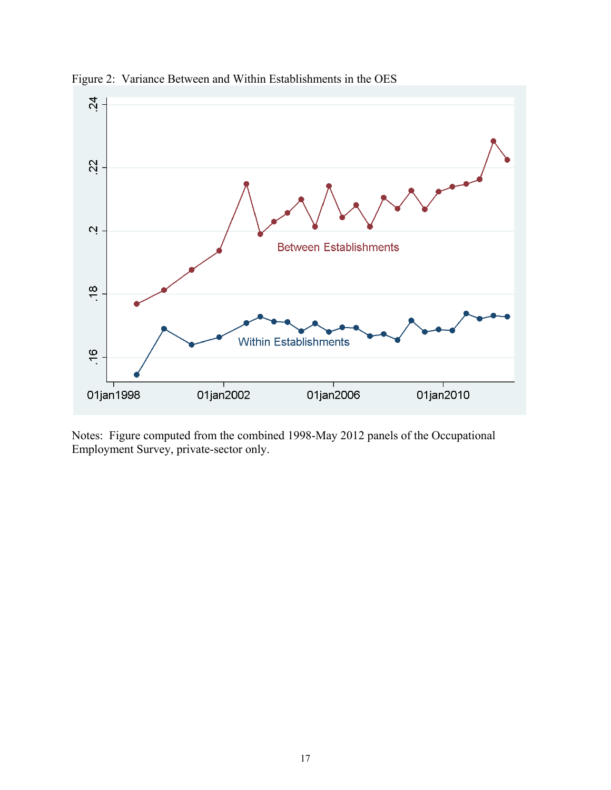

Figure 2: Variance Between and Within Establishments in the OES

Notes: Figure computed from the combined 1998-May 2012 panels of the Occupational Employment Survey, private-sector only.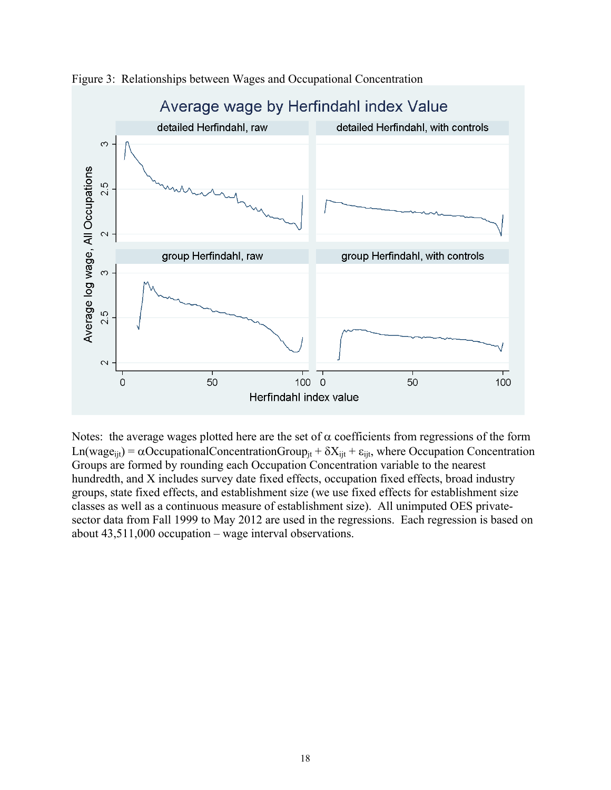

Figure 3: Relationships between Wages and Occupational Concentration

Notes: the average wages plotted here are the set of  $\alpha$  coefficients from regressions of the form Ln(wage<sub>iit</sub>) =  $\alpha$ OccupationalConcentrationGroup<sub>it</sub> +  $\delta X_{\text{iit}} + \varepsilon_{\text{iit}}$ , where Occupation Concentration Groups are formed by rounding each Occupation Concentration variable to the nearest hundredth, and X includes survey date fixed effects, occupation fixed effects, broad industry groups, state fixed effects, and establishment size (we use fixed effects for establishment size classes as well as a continuous measure of establishment size). All unimputed OES privatesector data from Fall 1999 to May 2012 are used in the regressions. Each regression is based on about 43,511,000 occupation – wage interval observations.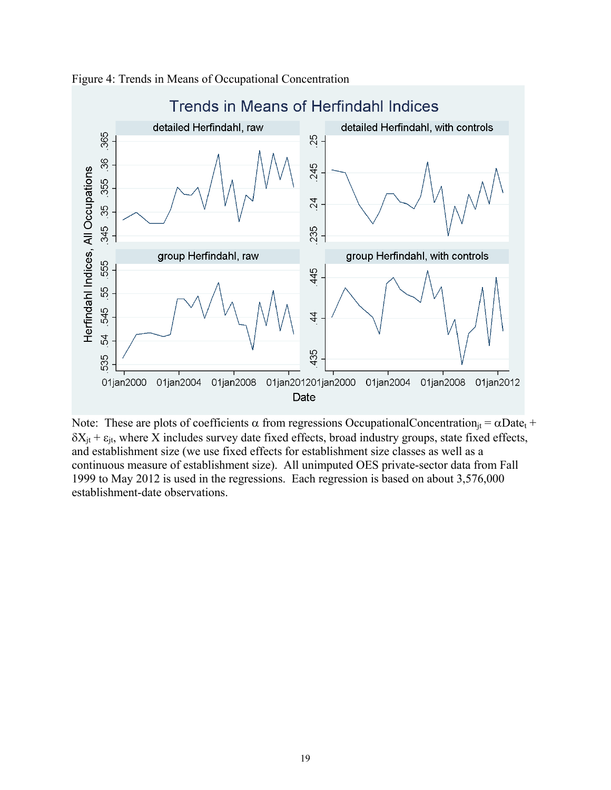

Figure 4: Trends in Means of Occupational Concentration

Note: These are plots of coefficients  $\alpha$  from regressions OccupationalConcentration<sub>it</sub> =  $\alpha$ Date<sub>t</sub> +  $\delta X_{it} + \varepsilon_{it}$ , where X includes survey date fixed effects, broad industry groups, state fixed effects, and establishment size (we use fixed effects for establishment size classes as well as a continuous measure of establishment size). All unimputed OES private-sector data from Fall 1999 to May 2012 is used in the regressions. Each regression is based on about 3,576,000 establishment-date observations.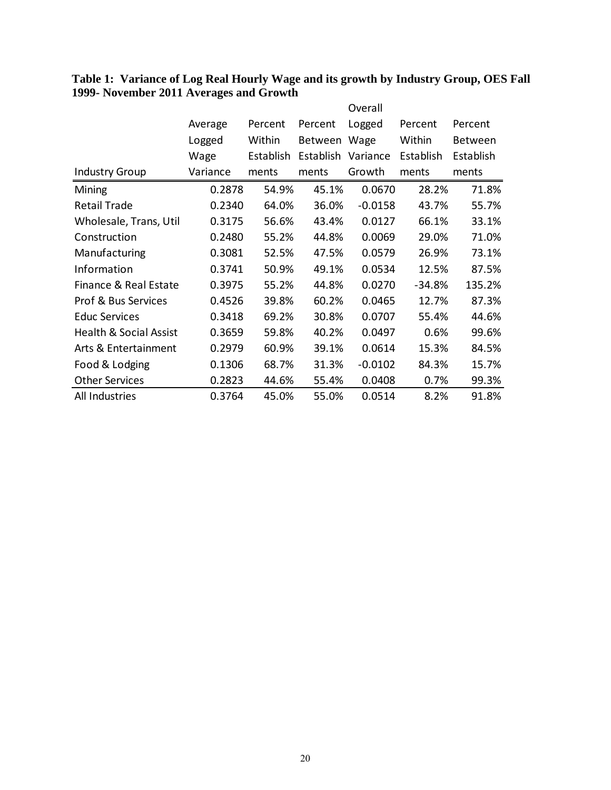|                                   |          |           |           | Overall   |           |                |
|-----------------------------------|----------|-----------|-----------|-----------|-----------|----------------|
|                                   | Average  | Percent   | Percent   | Logged    | Percent   | Percent        |
|                                   | Logged   | Within    | Between   | Wage      | Within    | <b>Between</b> |
|                                   | Wage     | Establish | Establish | Variance  | Establish | Establish      |
| <b>Industry Group</b>             | Variance | ments     | ments     | Growth    | ments     | ments          |
| Mining                            | 0.2878   | 54.9%     | 45.1%     | 0.0670    | 28.2%     | 71.8%          |
| <b>Retail Trade</b>               | 0.2340   | 64.0%     | 36.0%     | $-0.0158$ | 43.7%     | 55.7%          |
| Wholesale, Trans, Util            | 0.3175   | 56.6%     | 43.4%     | 0.0127    | 66.1%     | 33.1%          |
| Construction                      | 0.2480   | 55.2%     | 44.8%     | 0.0069    | 29.0%     | 71.0%          |
| Manufacturing                     | 0.3081   | 52.5%     | 47.5%     | 0.0579    | 26.9%     | 73.1%          |
| Information                       | 0.3741   | 50.9%     | 49.1%     | 0.0534    | 12.5%     | 87.5%          |
| Finance & Real Estate             | 0.3975   | 55.2%     | 44.8%     | 0.0270    | $-34.8%$  | 135.2%         |
| Prof & Bus Services               | 0.4526   | 39.8%     | 60.2%     | 0.0465    | 12.7%     | 87.3%          |
| <b>Educ Services</b>              | 0.3418   | 69.2%     | 30.8%     | 0.0707    | 55.4%     | 44.6%          |
| <b>Health &amp; Social Assist</b> | 0.3659   | 59.8%     | 40.2%     | 0.0497    | 0.6%      | 99.6%          |
| Arts & Entertainment              | 0.2979   | 60.9%     | 39.1%     | 0.0614    | 15.3%     | 84.5%          |
| Food & Lodging                    | 0.1306   | 68.7%     | 31.3%     | $-0.0102$ | 84.3%     | 15.7%          |
| <b>Other Services</b>             | 0.2823   | 44.6%     | 55.4%     | 0.0408    | 0.7%      | 99.3%          |
| All Industries                    | 0.3764   | 45.0%     | 55.0%     | 0.0514    | 8.2%      | 91.8%          |

#### **Table 1: Variance of Log Real Hourly Wage and its growth by Industry Group, OES Fall 1999- November 2011 Averages and Growth**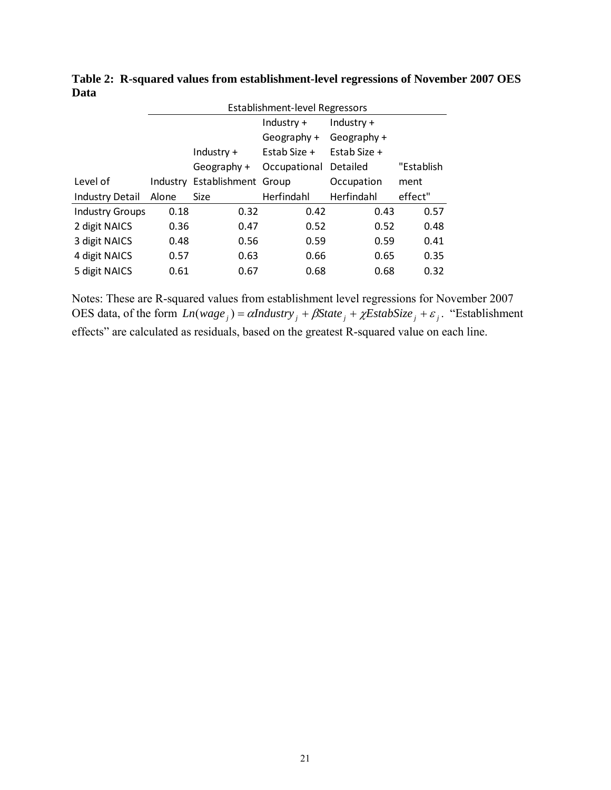|                        | Establishment-level Regressors |                          |                |              |            |  |  |
|------------------------|--------------------------------|--------------------------|----------------|--------------|------------|--|--|
|                        |                                | Industry +<br>Industry + |                |              |            |  |  |
|                        |                                |                          | Geography +    | Geography +  |            |  |  |
|                        |                                | Industry +               | Estab Size $+$ | Estab Size + |            |  |  |
|                        |                                | Geography +              | Occupational   | Detailed     | "Establish |  |  |
| Level of               | Industry                       | Establishment Group      |                | Occupation   | ment       |  |  |
| <b>Industry Detail</b> | Alone                          | Size                     | Herfindahl     | Herfindahl   | effect"    |  |  |
| <b>Industry Groups</b> | 0.18                           | 0.32                     | 0.42           | 0.43         | 0.57       |  |  |
| 2 digit NAICS          | 0.36                           | 0.47                     | 0.52           | 0.52         | 0.48       |  |  |
| 3 digit NAICS          | 0.48                           | 0.56                     | 0.59           | 0.59         | 0.41       |  |  |
| 4 digit NAICS          | 0.57                           | 0.63                     | 0.66           | 0.65         | 0.35       |  |  |
| 5 digit NAICS          | 0.61                           | 0.67                     | 0.68           | 0.68         | 0.32       |  |  |

|      | Table 2: R-squared values from establishment-level regressions of November 2007 OES |  |
|------|-------------------------------------------------------------------------------------|--|
| Data |                                                                                     |  |

Notes: These are R-squared values from establishment level regressions for November 2007 OES data, of the form  $Ln(wage_j) = \alpha Industry_j + \beta State_j + \chi Establishneot j$ . "Establishment" effects" are calculated as residuals, based on the greatest R-squared value on each line.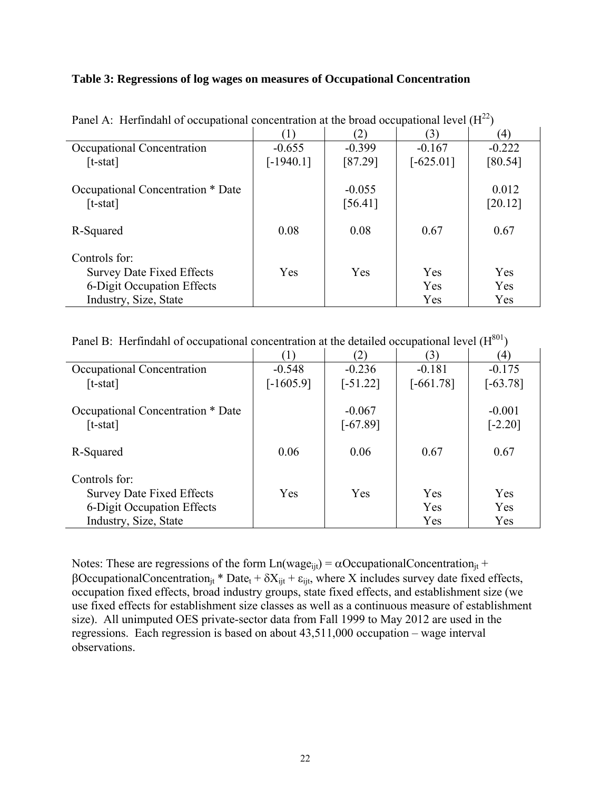#### **Table 3: Regressions of log wages on measures of Occupational Concentration**

|                                                 | (1)         | (2)                 | (3)         | (4)              |
|-------------------------------------------------|-------------|---------------------|-------------|------------------|
| Occupational Concentration                      | $-0.655$    | $-0.399$            | $-0.167$    | $-0.222$         |
| $[t-stat]$                                      | $[-1940.1]$ | [87.29]             | $[-625.01]$ | [80.54]          |
| Occupational Concentration * Date<br>$[t-stat]$ |             | $-0.055$<br>[56.41] |             | 0.012<br>[20.12] |
| R-Squared                                       | 0.08        | 0.08                | 0.67        | 0.67             |
| Controls for:                                   |             |                     |             |                  |
| <b>Survey Date Fixed Effects</b>                | Yes         | Yes                 | Yes         | Yes              |
| 6-Digit Occupation Effects                      |             |                     | Yes         | Yes              |
| Industry, Size, State                           |             |                     | Yes         | Yes              |

Panel A: Herfindahl of occupational concentration at the broad occupational level  $(H^{22})$ 

Panel B: Herfindahl of occupational concentration at the detailed occupational level  $(H^{801})$ 

|                                                 |             | (2)                    | (3)         | $\left( 4\right)$     |
|-------------------------------------------------|-------------|------------------------|-------------|-----------------------|
| Occupational Concentration                      | $-0.548$    | $-0.236$               | $-0.181$    | $-0.175$              |
| $[t-stat]$                                      | $[-1605.9]$ | $[-51.22]$             | $[-661.78]$ | $[-63.78]$            |
| Occupational Concentration * Date<br>$[t-stat]$ |             | $-0.067$<br>$[-67.89]$ |             | $-0.001$<br>$[-2.20]$ |
| R-Squared                                       | 0.06        | 0.06                   | 0.67        | 0.67                  |
| Controls for:                                   |             |                        |             |                       |
| <b>Survey Date Fixed Effects</b>                | Yes         | Yes                    | Yes         | Yes                   |
| 6-Digit Occupation Effects                      |             |                        | Yes         | Yes                   |
| Industry, Size, State                           |             |                        | Yes         | Yes                   |

Notes: These are regressions of the form  $Ln(wage_{ijt}) = \alpha OccupationalConcentration_{it} +$  $\beta$ OccupationalConcentration<sub>it</sub> \* Date<sub>t</sub> +  $\delta X_{ijt}$  +  $\varepsilon_{ijt}$ , where X includes survey date fixed effects, occupation fixed effects, broad industry groups, state fixed effects, and establishment size (we use fixed effects for establishment size classes as well as a continuous measure of establishment size). All unimputed OES private-sector data from Fall 1999 to May 2012 are used in the regressions. Each regression is based on about 43,511,000 occupation – wage interval observations.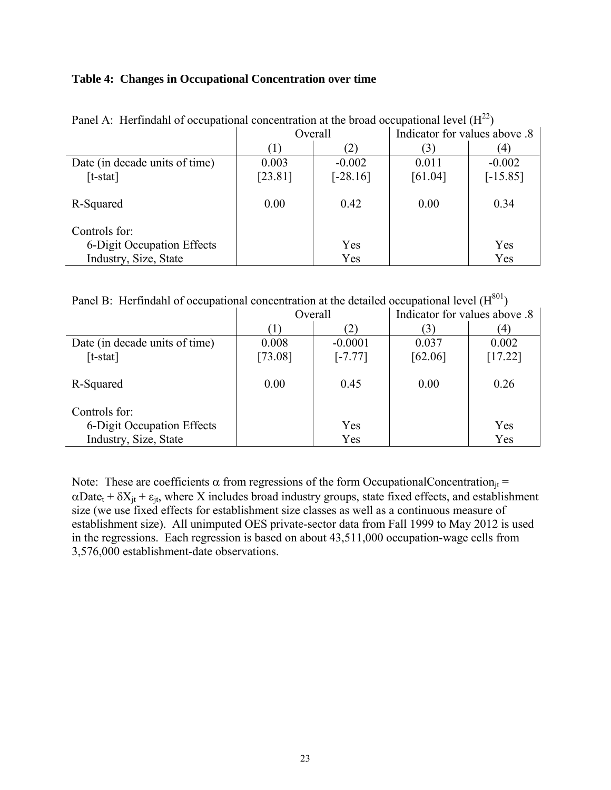#### **Table 4: Changes in Occupational Concentration over time**

|                                | Overall |            | Indicator for values above .8 |            |
|--------------------------------|---------|------------|-------------------------------|------------|
|                                | (1)     | (2)        |                               | (4)        |
| Date (in decade units of time) | 0.003   | $-0.002$   | 0.011                         | $-0.002$   |
| $[t-stat]$                     | [23.81] | $[-28.16]$ | [61.04]                       | $[-15.85]$ |
| R-Squared                      | 0.00    | 0.42       | 0.00                          | 0.34       |
| Controls for:                  |         |            |                               |            |
| 6-Digit Occupation Effects     |         | Yes        |                               | Yes        |
| Industry, Size, State          |         | Yes        |                               | Yes        |

Panel A: Herfindahl of occupational concentration at the broad occupational level  $(H^{22})$ 

Panel B: Herfindahl of occupational concentration at the detailed occupational level  $(H^{801})$ 

|                                |         | Overall   | Indicator for values above .8 |                  |
|--------------------------------|---------|-----------|-------------------------------|------------------|
|                                | (1)     | (2)       | $\mathfrak{Z}$                | $\left(4\right)$ |
| Date (in decade units of time) | 0.008   | $-0.0001$ | 0.037                         | 0.002            |
| $[t-stat]$                     | [73.08] | $[-7.77]$ | [62.06]                       | [17.22]          |
| R-Squared                      | 0.00    | 0.45      | 0.00                          | 0.26             |
| Controls for:                  |         |           |                               |                  |
| 6-Digit Occupation Effects     |         | Yes       |                               | Yes              |
| Industry, Size, State          |         | Yes       |                               | Yes              |

Note: These are coefficients  $\alpha$  from regressions of the form OccupationalConcentration<sub>it</sub> =  $\alpha$ Date<sub>t</sub> +  $\delta X_{it}$  +  $\varepsilon_{it}$ , where X includes broad industry groups, state fixed effects, and establishment size (we use fixed effects for establishment size classes as well as a continuous measure of establishment size). All unimputed OES private-sector data from Fall 1999 to May 2012 is used in the regressions. Each regression is based on about 43,511,000 occupation-wage cells from 3,576,000 establishment-date observations.